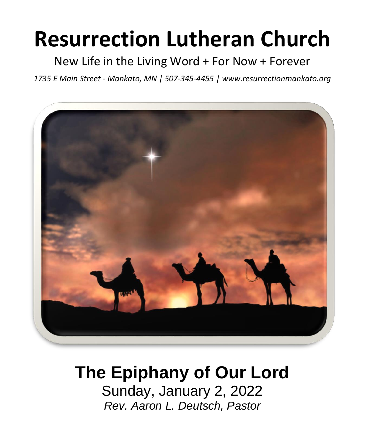# **Resurrection Lutheran Church**

New Life in the Living Word + For Now + Forever

*1735 E Main Street - Mankato, MN | 507-345-4455 | [www.resurrectionmankato.org](http://www.resurrectionmankato.org/)*



## **The Epiphany of Our Lord**

Sunday, January 2, 2022 *Rev. Aaron L. Deutsch, Pastor*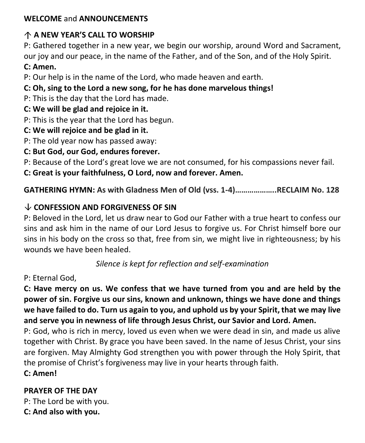#### **WELCOME** and **ANNOUNCEMENTS**

#### **A NEW YEAR'S CALL TO WORSHIP**

P: Gathered together in a new year, we begin our worship, around Word and Sacrament, our joy and our peace, in the name of the Father, and of the Son, and of the Holy Spirit. **C: Amen.** 

P: Our help is in the name of the Lord, who made heaven and earth.

#### **C: Oh, sing to the Lord a new song, for he has done marvelous things!**

P: This is the day that the Lord has made.

#### **C: We will be glad and rejoice in it.**

- P: This is the year that the Lord has begun.
- **C: We will rejoice and be glad in it.**
- P: The old year now has passed away:
- **C: But God, our God, endures forever.**

P: Because of the Lord's great love we are not consumed, for his compassions never fail.

**C: Great is your faithfulness, O Lord, now and forever. Amen.** 

**GATHERING HYMN: As with Gladness Men of Old (vss. 1-4)………………..RECLAIM No. 128**

#### **CONFESSION AND FORGIVENESS OF SIN**

P: Beloved in the Lord, let us draw near to God our Father with a true heart to confess our sins and ask him in the name of our Lord Jesus to forgive us. For Christ himself bore our sins in his body on the cross so that, free from sin, we might live in righteousness; by his wounds we have been healed.

*Silence is kept for reflection and self-examination*

#### P: Eternal God,

**C: Have mercy on us. We confess that we have turned from you and are held by the power of sin. Forgive us our sins, known and unknown, things we have done and things we have failed to do. Turn us again to you, and uphold us by your Spirit, that we may live and serve you in newness of life through Jesus Christ, our Savior and Lord. Amen.**

P: God, who is rich in mercy, loved us even when we were dead in sin, and made us alive together with Christ. By grace you have been saved. In the name of Jesus Christ, your sins are forgiven. May Almighty God strengthen you with power through the Holy Spirit, that the promise of Christ's forgiveness may live in your hearts through faith.

**C: Amen!** 

#### **PRAYER OF THE DAY**

P: The Lord be with you. **C: And also with you.**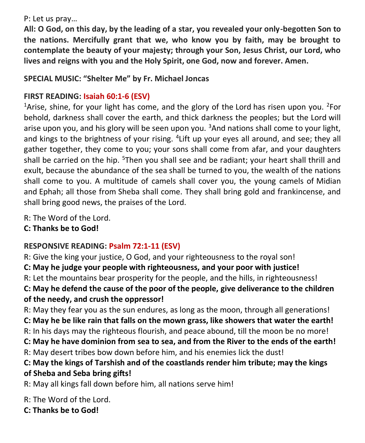P: Let us pray…

**All: O God, on this day, by the leading of a star, you revealed your only-begotten Son to the nations. Mercifully grant that we, who know you by faith, may be brought to contemplate the beauty of your majesty; through your Son, Jesus Christ, our Lord, who lives and reigns with you and the Holy Spirit, one God, now and forever. Amen.**

#### **SPECIAL MUSIC: "Shelter Me" by Fr. Michael Joncas**

#### **FIRST READING: Isaiah 60:1-6 (ESV)**

<sup>1</sup>Arise, shine, for your light has come, and the glory of the Lord has risen upon you. <sup>2</sup>For behold, darkness shall cover the earth, and thick darkness the peoples; but the Lord will arise upon you, and his glory will be seen upon you.  $3$ And nations shall come to your light, and kings to the brightness of your rising. <sup>4</sup> Lift up your eyes all around, and see; they all gather together, they come to you; your sons shall come from afar, and your daughters shall be carried on the hip. <sup>5</sup>Then you shall see and be radiant; your heart shall thrill and exult, because the abundance of the sea shall be turned to you, the wealth of the nations shall come to you. A multitude of camels shall cover you, the young camels of Midian and Ephah; all those from Sheba shall come. They shall bring gold and frankincense, and shall bring good news, the praises of the Lord.

R: The Word of the Lord.

**C: Thanks be to God!** 

#### **RESPONSIVE READING: Psalm 72:1-11 (ESV)**

R: Give the king your justice, O God, and your righteousness to the royal son! **C: May he judge your people with righteousness, and your poor with justice!** R: Let the mountains bear prosperity for the people, and the hills, in righteousness! **C: May he defend the cause of the poor of the people, give deliverance to the children of the needy, and crush the oppressor!** R: May they fear you as the sun endures, as long as the moon, through all generations!

**C: May he be like rain that falls on the mown grass, like showers that water the earth!** R: In his days may the righteous flourish, and peace abound, till the moon be no more! **C: May he have dominion from sea to sea, and from the River to the ends of the earth!** R: May desert tribes bow down before him, and his enemies lick the dust!

#### **C: May the kings of Tarshish and of the coastlands render him tribute; may the kings of Sheba and Seba bring gifts!**

R: May all kings fall down before him, all nations serve him!

R: The Word of the Lord.

**C: Thanks be to God!**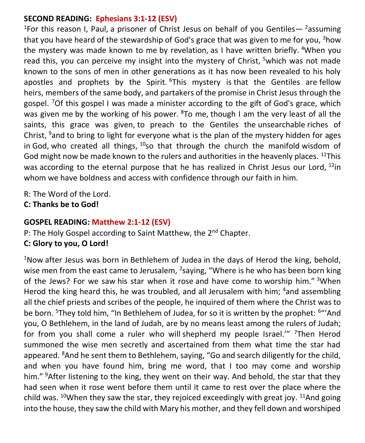#### **SECOND READING: Ephesians 3:1-12 (ESV)**

<sup>1</sup>For this reason I, Paul, a prisoner of Christ Jesus on behalf of you Gentiles—  $2$  assuming that you have heard of the stewardship of God's grace that was given to me for you,  $3$  how the mystery was made known to me by revelation, as I have written briefly. <sup>4</sup>When you read this, you can perceive my insight into the mystery of Christ, <sup>5</sup>which was not made known to the sons of men in other generations as it has now been revealed to his holy apostles and prophets by the Spirit.  $6$ This mystery is that the Gentiles are fellow heirs, members of the same body, and partakers of the promise in Christ Jesus through the gospel. <sup>7</sup>Of this gospel I was made a minister according to the gift of God's grace, which was given me by the working of his power.  $8$ To me, though I am the very least of all the saints, this grace was given, to preach to the Gentiles the unsearchable riches of Christ,  $9$  and to bring to light for everyone what is the plan of the mystery hidden for ages in God, who created all things,  $10$ so that through the church the manifold wisdom of God might now be made known to the rulers and authorities in the heavenly places. <sup>11</sup>This was according to the eternal purpose that he has realized in Christ Jesus our Lord, <sup>12</sup>in whom we have boldness and access with confidence through our faith in him.

R: The Word of the Lord.

**C: Thanks be to God!** 

#### **GOSPEL READING: Matthew 2:1-12 (ESV)**

P: The Holy Gospel according to Saint Matthew, the 2<sup>nd</sup> Chapter.

#### **C: Glory to you, O Lord!**

 $1$ Now after Jesus was born in Bethlehem of Judea in the days of Herod the king, behold, wise men from the east came to Jerusalem, <sup>2</sup>saying, "Where is he who has been born king of the Jews? For we saw his star when it rose and have come to worship him." 3When Herod the king heard this, he was troubled, and all Jerusalem with him; <sup>4</sup>and assembling all the chief priests and scribes of the people, he inquired of them where the Christ was to be born. <sup>5</sup>They told him, "In Bethlehem of Judea, for so it is written by the prophet: <sup>6</sup>"'And you, O Bethlehem, in the land of Judah, are by no means least among the rulers of Judah; for from you shall come a ruler who will shepherd my people Israel."" <sup>7</sup>Then Herod summoned the wise men secretly and ascertained from them what time the star had appeared. <sup>8</sup>And he sent them to Bethlehem, saying, "Go and search diligently for the child, and when you have found him, bring me word, that I too may come and worship him." <sup>9</sup>After listening to the king, they went on their way. And behold, the star that they had seen when it rose went before them until it came to rest over the place where the child was.  $10$ When they saw the star, they rejoiced exceedingly with great joy.  $11$ And going into the house, they saw the child with Mary his mother, and they fell down and worshiped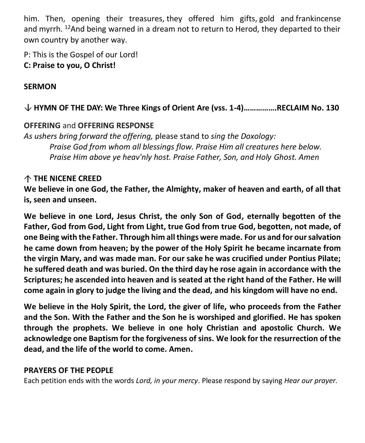him. Then, opening their treasures, they offered him gifts, gold and frankincense and myrrh. <sup>12</sup>And being warned in a dream not to return to Herod, they departed to their own country by another way.

P: This is the Gospel of our Lord! **C: Praise to you, O Christ!** 

#### **SERMON**

#### **HYMN OF THE DAY: We Three Kings of Orient Are (vss. 1-4)…………….RECLAIM No. 130**

#### **OFFERING** and **OFFERING RESPONSE**

*As ushers bring forward the offering,* please stand to *sing the Doxology: Praise God from whom all blessings flow. Praise Him all creatures here below. Praise Him above ye heav'nly host. Praise Father, Son, and Holy Ghost. Amen*

#### **THE NICENE CREED**

**We believe in one God, the Father, the Almighty, maker of heaven and earth, of all that is, seen and unseen.**

**We believe in one Lord, Jesus Christ, the only Son of God, eternally begotten of the Father, God from God, Light from Light, true God from true God, begotten, not made, of one Being with the Father. Through him all things were made. For us and for our salvation he came down from heaven; by the power of the Holy Spirit he became incarnate from the virgin Mary, and was made man. For our sake he was crucified under Pontius Pilate; he suffered death and was buried. On the third day he rose again in accordance with the Scriptures; he ascended into heaven and is seated at the right hand of the Father. He will come again in glory to judge the living and the dead, and his kingdom will have no end.**

**We believe in the Holy Spirit, the Lord, the giver of life, who proceeds from the Father and the Son. With the Father and the Son he is worshiped and glorified. He has spoken through the prophets. We believe in one holy Christian and apostolic Church. We acknowledge one Baptism for the forgiveness of sins. We look for the resurrection of the dead, and the life of the world to come. Amen.**

#### **PRAYERS OF THE PEOPLE**

Each petition ends with the words *Lord, in your mercy*. Please respond by saying *Hear our prayer.*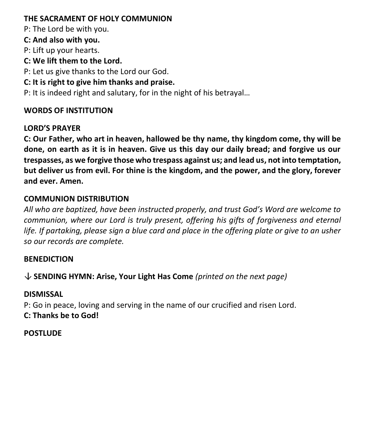#### **THE SACRAMENT OF HOLY COMMUNION**

P: The Lord be with you.

**C: And also with you.**

P: Lift up your hearts.

**C: We lift them to the Lord.**

P: Let us give thanks to the Lord our God.

**C: It is right to give him thanks and praise.**

P: It is indeed right and salutary, for in the night of his betrayal…

#### **WORDS OF INSTITUTION**

#### **LORD'S PRAYER**

**C: Our Father, who art in heaven, hallowed be thy name, thy kingdom come, thy will be done, on earth as it is in heaven. Give us this day our daily bread; and forgive us our trespasses, as we forgive those who trespass against us; and lead us, not into temptation, but deliver us from evil. For thine is the kingdom, and the power, and the glory, forever and ever. Amen.**

#### **COMMUNION DISTRIBUTION**

*All who are baptized, have been instructed properly, and trust God's Word are welcome to communion, where our Lord is truly present, offering his gifts of forgiveness and eternal life. If partaking, please sign a blue card and place in the offering plate or give to an usher so our records are complete.*

#### **BENEDICTION**

**SENDING HYMN: Arise, Your Light Has Come** *(printed on the next page)* 

#### **DISMISSAL**

P: Go in peace, loving and serving in the name of our crucified and risen Lord. **C: Thanks be to God!**

#### **POSTLUDE**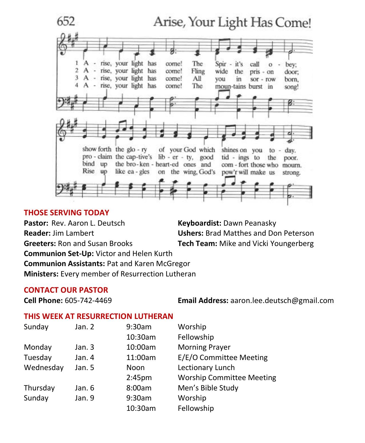

#### **THOSE SERVING TODAY**

Pastor: Rev. Aaron L. Deutsch **Keyboardist:** Dawn Peanasky **Reader:** Jim Lambert **Ushers:** Brad Matthes and Don Peterson **Greeters:** Ron and Susan Brooks **Tech Team:** Mike and Vicki Youngerberg **Communion Set-Up:** Victor and Helen Kurth **Communion Assistants:** Pat and Karen McGregor **Ministers:** Every member of Resurrection Lutheran

#### **CONTACT OUR PASTOR**

**Cell Phone:** 605-742-4469 **Email Address:** [aaron.lee.deutsch@gmail.com](mailto:aaron.lee.deutsch@gmail.com)

#### **THIS WEEK AT RESURRECTION LUTHERAN**

| Sunday    | Jan. 2 | 9:30am             | Worship                          |
|-----------|--------|--------------------|----------------------------------|
|           |        | 10:30am            | Fellowship                       |
| Monday    | Jan. 3 | 10:00am            | <b>Morning Prayer</b>            |
| Tuesday   | Jan. 4 | 11:00am            | E/E/O Committee Meeting          |
| Wednesday | Jan. 5 | Noon               | Lectionary Lunch                 |
|           |        | 2:45 <sub>pm</sub> | <b>Worship Committee Meeting</b> |
| Thursday  | Jan. 6 | 8:00am             | Men's Bible Study                |
| Sunday    | Jan. 9 | 9:30am             | Worship                          |
|           |        | 10:30am            | Fellowship                       |